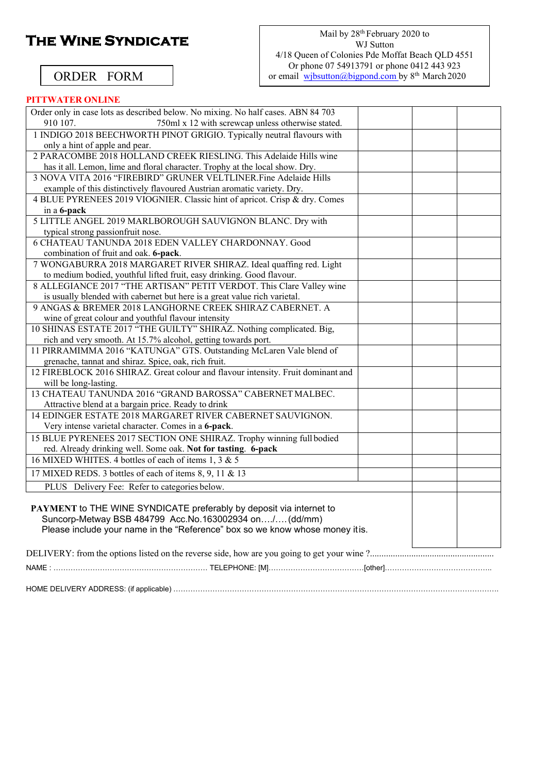# **The Wine Syndicate**

#### Mail by 28<sup>th</sup> February 2020 to WJ Sutton 4/18 Queen of Colonies Pde Moffat Beach QLD 4551 Or phone 07 54913791 or phone 0412 443 923 or email wibsutton@bigpond.com by 8<sup>th</sup> March 2020

### ORDER FORM

### **PITTWATER ONLINE**

| Order only in case lots as described below. No mixing. No half cases. ABN 84 703 |
|----------------------------------------------------------------------------------|
| 750ml x 12 with screwcap unless otherwise stated.<br>910 107.                    |
| 1 INDIGO 2018 BEECHWORTH PINOT GRIGIO. Typically neutral flavours with           |
| only a hint of apple and pear.                                                   |
| 2 PARACOMBE 2018 HOLLAND CREEK RIESLING. This Adelaide Hills wine                |
| has it all. Lemon, lime and floral character. Trophy at the local show. Dry.     |
| 3 NOVA VITA 2016 "FIREBIRD" GRUNER VELTLINER. Fine Adelaide Hills                |
| example of this distinctively flavoured Austrian aromatic variety. Dry.          |
| 4 BLUE PYRENEES 2019 VIOGNIER. Classic hint of apricot. Crisp & dry. Comes       |
| in a 6-pack                                                                      |
| 5 LITTLE ANGEL 2019 MARLBOROUGH SAUVIGNON BLANC. Dry with                        |
| typical strong passionfruit nose.                                                |
| 6 CHATEAU TANUNDA 2018 EDEN VALLEY CHARDONNAY. Good                              |
| combination of fruit and oak. 6-pack.                                            |
| 7 WONGABURRA 2018 MARGARET RIVER SHIRAZ. Ideal quaffing red. Light               |
| to medium bodied, youthful lifted fruit, easy drinking. Good flavour.            |
| 8 ALLEGIANCE 2017 "THE ARTISAN" PETIT VERDOT. This Clare Valley wine             |
| is usually blended with cabernet but here is a great value rich varietal.        |
| 9 ANGAS & BREMER 2018 LANGHORNE CREEK SHIRAZ CABERNET. A                         |
| wine of great colour and youthful flavour intensity                              |
| 10 SHINAS ESTATE 2017 "THE GUILTY" SHIRAZ. Nothing complicated. Big,             |
| rich and very smooth. At 15.7% alcohol, getting towards port.                    |
| 11 PIRRAMIMMA 2016 "KATUNGA" GTS. Outstanding McLaren Vale blend of              |
| grenache, tannat and shiraz. Spice, oak, rich fruit.                             |
| 12 FIREBLOCK 2016 SHIRAZ. Great colour and flavour intensity. Fruit dominant and |
| will be long-lasting.                                                            |
| 13 CHATEAU TANUNDA 2016 "GRAND BAROSSA" CABERNET MALBEC.                         |
| Attractive blend at a bargain price. Ready to drink                              |
| 14 EDINGER ESTATE 2018 MARGARET RIVER CABERNET SAUVIGNON.                        |
| Very intense varietal character. Comes in a 6-pack.                              |
| 15 BLUE PYRENEES 2017 SECTION ONE SHIRAZ. Trophy winning full bodied             |
| red. Already drinking well. Some oak. Not for tasting. 6-pack                    |
| 16 MIXED WHITES. 4 bottles of each of items 1, 3 & 5                             |
| 17 MIXED REDS. 3 bottles of each of items 8, 9, 11 & 13                          |
| PLUS Delivery Fee: Refer to categories below.                                    |
|                                                                                  |
| PAYMENT to THE WINE SYNDICATE preferably by deposit via internet to              |
| Suncorp-Metway BSB 484799 Acc.No.163002934 on/(dd/mm)                            |
| Please include your name in the "Reference" box so we know whose money it is.    |
|                                                                                  |
|                                                                                  |
|                                                                                  |
|                                                                                  |

HOME DELIVERY ADDRESS: (if applicable) …………………………………………………………………………………………………………………….